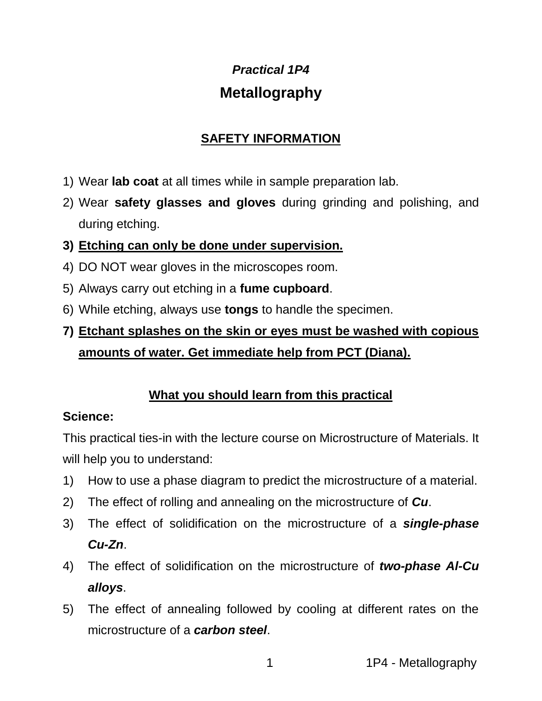# *Practical 1P4* **Metallography**

## **SAFETY INFORMATION**

- 1) Wear **lab coat** at all times while in sample preparation lab.
- 2) Wear **safety glasses and gloves** during grinding and polishing, and during etching.
- **3) Etching can only be done under supervision.**
- 4) DO NOT wear gloves in the microscopes room.
- 5) Always carry out etching in a **fume cupboard**.
- 6) While etching, always use **tongs** to handle the specimen.
- **7) Etchant splashes on the skin or eyes must be washed with copious amounts of water. Get immediate help from PCT (Diana).**

## **What you should learn from this practical**

### **Science:**

This practical ties-in with the lecture course on Microstructure of Materials. It will help you to understand:

- 1) How to use a phase diagram to predict the microstructure of a material.
- 2) The effect of rolling and annealing on the microstructure of *Cu*.
- 3) The effect of solidification on the microstructure of a *single-phase Cu-Zn*.
- 4) The effect of solidification on the microstructure of *two-phase Al-Cu alloys*.
- 5) The effect of annealing followed by cooling at different rates on the microstructure of a *carbon steel*.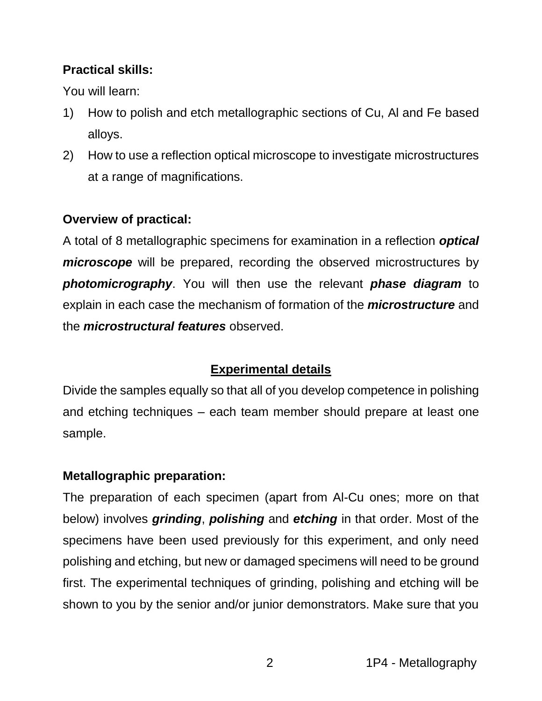# **Practical skills:**

You will learn:

- 1) How to polish and etch metallographic sections of Cu, Al and Fe based alloys.
- 2) How to use a reflection optical microscope to investigate microstructures at a range of magnifications.

## **Overview of practical:**

A total of 8 metallographic specimens for examination in a reflection *optical microscope* will be prepared, recording the observed microstructures by *photomicrography*. You will then use the relevant *phase diagram* to explain in each case the mechanism of formation of the *microstructure* and the *microstructural features* observed.

## **Experimental details**

Divide the samples equally so that all of you develop competence in polishing and etching techniques – each team member should prepare at least one sample.

### **Metallographic preparation:**

The preparation of each specimen (apart from Al-Cu ones; more on that below) involves *grinding*, *polishing* and *etching* in that order. Most of the specimens have been used previously for this experiment, and only need polishing and etching, but new or damaged specimens will need to be ground first. The experimental techniques of grinding, polishing and etching will be shown to you by the senior and/or junior demonstrators. Make sure that you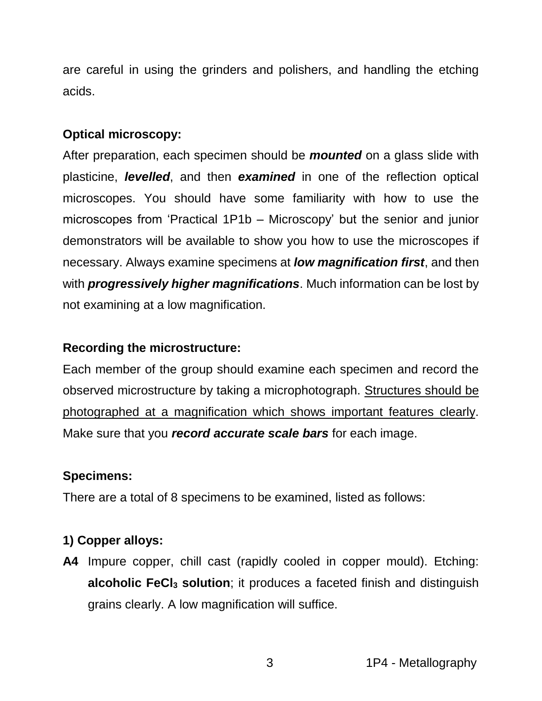are careful in using the grinders and polishers, and handling the etching acids.

### **Optical microscopy:**

After preparation, each specimen should be *mounted* on a glass slide with plasticine, *levelled*, and then *examined* in one of the reflection optical microscopes. You should have some familiarity with how to use the microscopes from 'Practical 1P1b – Microscopy' but the senior and junior demonstrators will be available to show you how to use the microscopes if necessary. Always examine specimens at *low magnification first*, and then with *progressively higher magnifications*. Much information can be lost by not examining at a low magnification.

#### **Recording the microstructure:**

Each member of the group should examine each specimen and record the observed microstructure by taking a microphotograph. Structures should be photographed at a magnification which shows important features clearly. Make sure that you *record accurate scale bars* for each image.

### **Specimens:**

There are a total of 8 specimens to be examined, listed as follows:

## **1) Copper alloys:**

**A4** Impure copper, chill cast (rapidly cooled in copper mould). Etching: **alcoholic FeCl<sup>3</sup> solution**; it produces a faceted finish and distinguish grains clearly. A low magnification will suffice.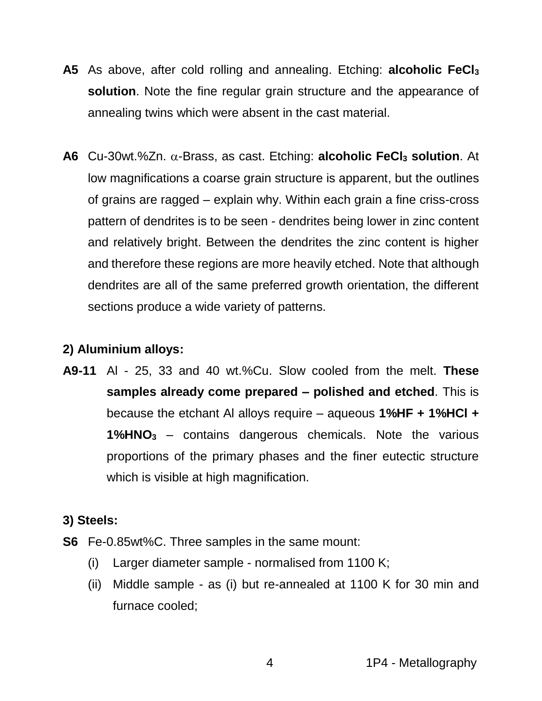- **A5** As above, after cold rolling and annealing. Etching: **alcoholic FeCl<sup>3</sup> solution**. Note the fine regular grain structure and the appearance of annealing twins which were absent in the cast material.
- **A6** Cu-30wt.%Zn. α-Brass, as cast. Etching: **alcoholic FeCl<sub>3</sub> solution**. At low magnifications a coarse grain structure is apparent, but the outlines of grains are ragged – explain why. Within each grain a fine criss-cross pattern of dendrites is to be seen - dendrites being lower in zinc content and relatively bright. Between the dendrites the zinc content is higher and therefore these regions are more heavily etched. Note that although dendrites are all of the same preferred growth orientation, the different sections produce a wide variety of patterns.

## **2) Aluminium alloys:**

**A9-11** Al - 25, 33 and 40 wt.%Cu. Slow cooled from the melt. **These samples already come prepared – polished and etched**. This is because the etchant Al alloys require – aqueous **1%HF + 1%HCl + 1%HNO<sup>3</sup>** – contains dangerous chemicals. Note the various proportions of the primary phases and the finer eutectic structure which is visible at high magnification.

## **3) Steels:**

- **S6** Fe-0.85wt%C. Three samples in the same mount:
	- (i) Larger diameter sample normalised from 1100 K;
	- (ii) Middle sample as (i) but re-annealed at 1100 K for 30 min and furnace cooled;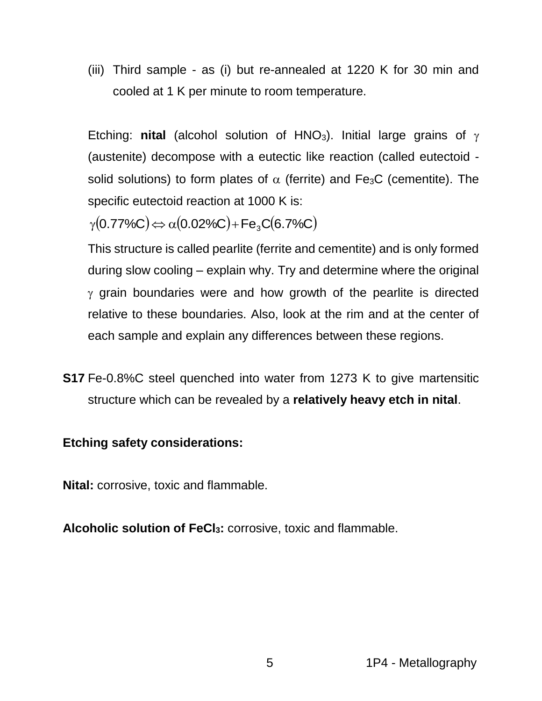(iii) Third sample - as (i) but re-annealed at 1220 K for 30 min and cooled at 1 K per minute to room temperature.

Etching: **nital** (alcohol solution of HNO<sub>3</sub>). Initial large grains of  $\gamma$ (austenite) decompose with a eutectic like reaction (called eutectoid solid solutions) to form plates of  $\alpha$  (ferrite) and Fe<sub>3</sub>C (cementite). The specific eutectoid reaction at 1000 K is:

 $\gamma(\rm 0.77\% C)$  $\Longleftrightarrow$   $\alpha(\rm 0.02\% C)$ +Fe $_{3}$ C $($ 6.7%C $)$ 

This structure is called pearlite (ferrite and cementite) and is only formed during slow cooling – explain why. Try and determine where the original  $\gamma$  grain boundaries were and how growth of the pearlite is directed relative to these boundaries. Also, look at the rim and at the center of each sample and explain any differences between these regions.

**S17** Fe-0.8%C steel quenched into water from 1273 K to give martensitic structure which can be revealed by a **relatively heavy etch in nital**.

#### **Etching safety considerations:**

**Nital:** corrosive, toxic and flammable.

**Alcoholic solution of FeCl3:** corrosive, toxic and flammable.